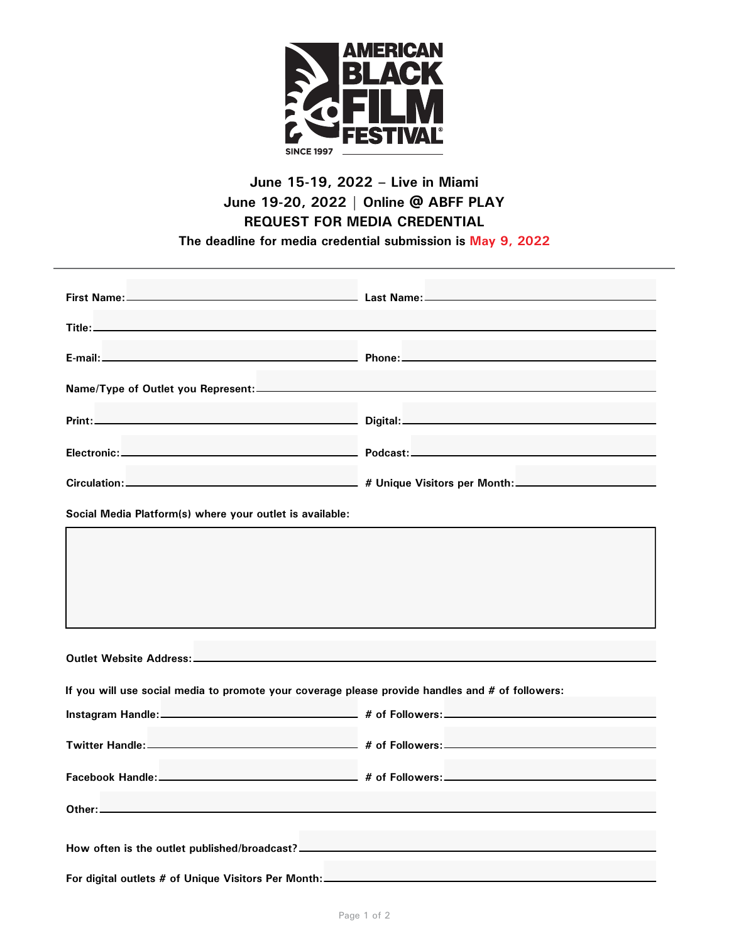

## **June 15-19, 2022 – Live in Miami June 19-20, 2022 | Online @ ABFF PLAY REQUEST FOR MEDIA CREDENTIAL**

**The deadline for media credential submission is May 9, 2022**

| Name/Type of Outlet you Represent:                                                               |  |  |
|--------------------------------------------------------------------------------------------------|--|--|
|                                                                                                  |  |  |
|                                                                                                  |  |  |
|                                                                                                  |  |  |
| Social Media Platform(s) where your outlet is available:                                         |  |  |
|                                                                                                  |  |  |
|                                                                                                  |  |  |
| If you will use social media to promote your coverage please provide handles and # of followers: |  |  |
|                                                                                                  |  |  |
|                                                                                                  |  |  |
|                                                                                                  |  |  |
|                                                                                                  |  |  |
| How often is the outlet published/broadcast? ___________________________________                 |  |  |
| For digital outlets # of Unique Visitors Per Month: _____________________________                |  |  |